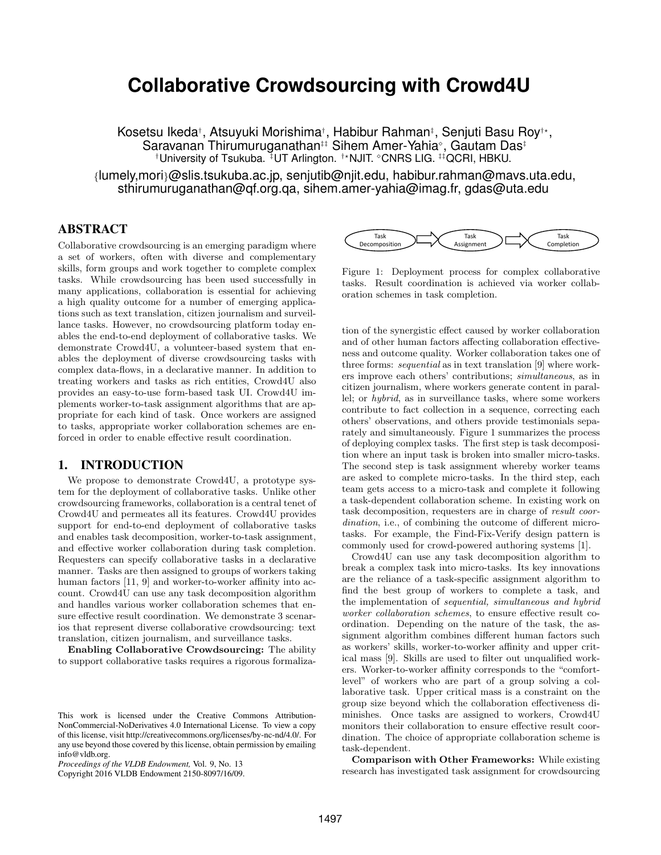# **Collaborative Crowdsourcing with Crowd4U**

Kosetsu Ikeda†, Atsuyuki Morishima†, Habibur Rahman‡, Senjuti Basu Roy†\*, Saravanan Thirumuruganathan‡‡ Sihem Amer-Yahia°, Gautam Das‡ †University of Tsukuba. ‡UT Arlington. †?NJIT. CNRS LIG. ‡‡QCRI, HBKU.

{lumely,mori}@slis.tsukuba.ac.jp, senjutib@njit.edu, habibur.rahman@mavs.uta.edu, sthirumuruganathan@qf.org.qa, sihem.amer-yahia@imag.fr, gdas@uta.edu

# ABSTRACT

Collaborative crowdsourcing is an emerging paradigm where a set of workers, often with diverse and complementary skills, form groups and work together to complete complex tasks. While crowdsourcing has been used successfully in many applications, collaboration is essential for achieving a high quality outcome for a number of emerging applications such as text translation, citizen journalism and surveillance tasks. However, no crowdsourcing platform today enables the end-to-end deployment of collaborative tasks. We demonstrate Crowd4U, a volunteer-based system that enables the deployment of diverse crowdsourcing tasks with complex data-flows, in a declarative manner. In addition to treating workers and tasks as rich entities, Crowd4U also provides an easy-to-use form-based task UI. Crowd4U implements worker-to-task assignment algorithms that are appropriate for each kind of task. Once workers are assigned to tasks, appropriate worker collaboration schemes are enforced in order to enable effective result coordination.

### 1. INTRODUCTION

We propose to demonstrate Crowd4U, a prototype system for the deployment of collaborative tasks. Unlike other crowdsourcing frameworks, collaboration is a central tenet of Crowd4U and permeates all its features. Crowd4U provides support for end-to-end deployment of collaborative tasks and enables task decomposition, worker-to-task assignment, and effective worker collaboration during task completion. Requesters can specify collaborative tasks in a declarative manner. Tasks are then assigned to groups of workers taking human factors [11, 9] and worker-to-worker affinity into account. Crowd4U can use any task decomposition algorithm and handles various worker collaboration schemes that ensure effective result coordination. We demonstrate 3 scenarios that represent diverse collaborative crowdsourcing: text translation, citizen journalism, and surveillance tasks.

Enabling Collaborative Crowdsourcing: The ability to support collaborative tasks requires a rigorous formaliza-

Copyright 2016 VLDB Endowment 2150-8097/16/09.



Figure 1: Deployment process for complex collaborative tasks. Result coordination is achieved via worker collaboration schemes in task completion.

tion of the synergistic effect caused by worker collaboration and of other human factors affecting collaboration effectiveness and outcome quality. Worker collaboration takes one of three forms: sequential as in text translation [9] where workers improve each others' contributions; simultaneous, as in citizen journalism, where workers generate content in parallel; or hybrid, as in surveillance tasks, where some workers contribute to fact collection in a sequence, correcting each others' observations, and others provide testimonials separately and simultaneously. Figure 1 summarizes the process of deploying complex tasks. The first step is task decomposition where an input task is broken into smaller micro-tasks. The second step is task assignment whereby worker teams are asked to complete micro-tasks. In the third step, each team gets access to a micro-task and complete it following a task-dependent collaboration scheme. In existing work on task decomposition, requesters are in charge of result coordination, i.e., of combining the outcome of different microtasks. For example, the Find-Fix-Verify design pattern is commonly used for crowd-powered authoring systems [1].

Crowd4U can use any task decomposition algorithm to break a complex task into micro-tasks. Its key innovations are the reliance of a task-specific assignment algorithm to find the best group of workers to complete a task, and the implementation of sequential, simultaneous and hybrid worker collaboration schemes, to ensure effective result coordination. Depending on the nature of the task, the assignment algorithm combines different human factors such as workers' skills, worker-to-worker affinity and upper critical mass [9]. Skills are used to filter out unqualified workers. Worker-to-worker affinity corresponds to the "comfortlevel" of workers who are part of a group solving a collaborative task. Upper critical mass is a constraint on the group size beyond which the collaboration effectiveness diminishes. Once tasks are assigned to workers, Crowd4U monitors their collaboration to ensure effective result coordination. The choice of appropriate collaboration scheme is task-dependent.

Comparison with Other Frameworks: While existing research has investigated task assignment for crowdsourcing

This work is licensed under the Creative Commons Attribution-NonCommercial-NoDerivatives 4.0 International License. To view a copy of this license, visit http://creativecommons.org/licenses/by-nc-nd/4.0/. For any use beyond those covered by this license, obtain permission by emailing info@vldb.org.

*Proceedings of the VLDB Endowment,* Vol. 9, No. 13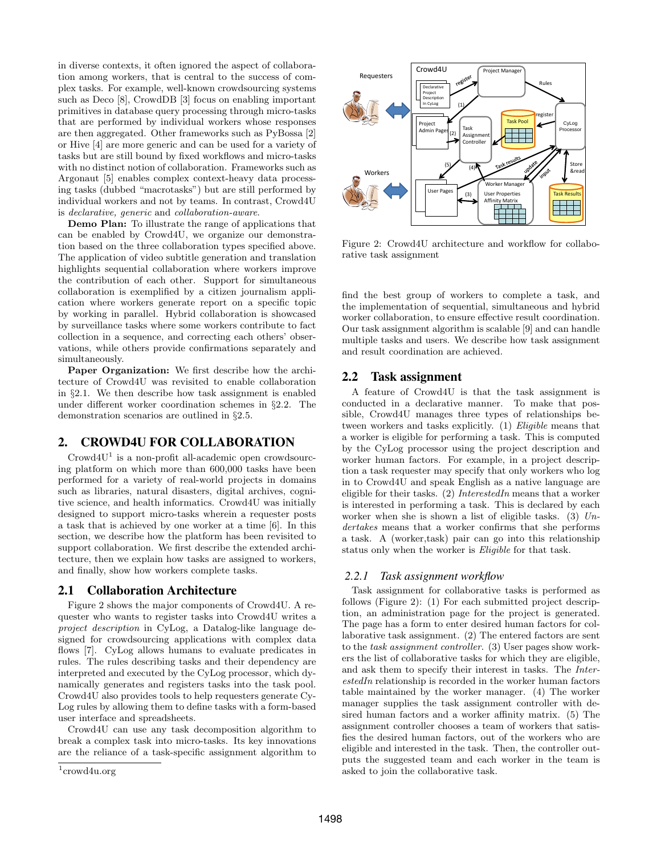in diverse contexts, it often ignored the aspect of collaboration among workers, that is central to the success of complex tasks. For example, well-known crowdsourcing systems such as Deco [8], CrowdDB [3] focus on enabling important primitives in database query processing through micro-tasks that are performed by individual workers whose responses are then aggregated. Other frameworks such as PyBossa [2] or Hive [4] are more generic and can be used for a variety of tasks but are still bound by fixed workflows and micro-tasks with no distinct notion of collaboration. Frameworks such as Argonaut [5] enables complex context-heavy data processing tasks (dubbed "macrotasks") but are still performed by individual workers and not by teams. In contrast, Crowd4U is declarative, generic and collaboration-aware.

Demo Plan: To illustrate the range of applications that can be enabled by Crowd4U, we organize our demonstration based on the three collaboration types specified above. The application of video subtitle generation and translation highlights sequential collaboration where workers improve the contribution of each other. Support for simultaneous collaboration is exemplified by a citizen journalism application where workers generate report on a specific topic by working in parallel. Hybrid collaboration is showcased by surveillance tasks where some workers contribute to fact collection in a sequence, and correcting each others' observations, while others provide confirmations separately and simultaneously.

Paper Organization: We first describe how the architecture of Crowd4U was revisited to enable collaboration in §2.1. We then describe how task assignment is enabled under different worker coordination schemes in §2.2. The demonstration scenarios are outlined in §2.5.

# 2. CROWD4U FOR COLLABORATION

 $Crowd4U<sup>1</sup>$  is a non-profit all-academic open crowdsourcing platform on which more than 600,000 tasks have been performed for a variety of real-world projects in domains such as libraries, natural disasters, digital archives, cognitive science, and health informatics. Crowd4U was initially designed to support micro-tasks wherein a requester posts a task that is achieved by one worker at a time [6]. In this section, we describe how the platform has been revisited to support collaboration. We first describe the extended architecture, then we explain how tasks are assigned to workers, and finally, show how workers complete tasks.

# 2.1 Collaboration Architecture

Figure 2 shows the major components of Crowd4U. A requester who wants to register tasks into Crowd4U writes a project description in CyLog, a Datalog-like language designed for crowdsourcing applications with complex data flows [7]. CyLog allows humans to evaluate predicates in rules. The rules describing tasks and their dependency are interpreted and executed by the CyLog processor, which dynamically generates and registers tasks into the task pool. Crowd4U also provides tools to help requesters generate Cy-Log rules by allowing them to define tasks with a form-based user interface and spreadsheets.

Crowd4U can use any task decomposition algorithm to break a complex task into micro-tasks. Its key innovations are the reliance of a task-specific assignment algorithm to



Figure 2: Crowd4U architecture and workflow for collaborative task assignment

find the best group of workers to complete a task, and the implementation of sequential, simultaneous and hybrid worker collaboration, to ensure effective result coordination. Our task assignment algorithm is scalable [9] and can handle multiple tasks and users. We describe how task assignment and result coordination are achieved.

# 2.2 Task assignment

A feature of Crowd4U is that the task assignment is conducted in a declarative manner. To make that possible, Crowd4U manages three types of relationships between workers and tasks explicitly. (1) Eligible means that a worker is eligible for performing a task. This is computed by the CyLog processor using the project description and worker human factors. For example, in a project description a task requester may specify that only workers who log in to Crowd4U and speak English as a native language are eligible for their tasks.  $(2)$  InterestedIn means that a worker is interested in performing a task. This is declared by each worker when she is shown a list of eligible tasks. (3)  $Un$ dertakes means that a worker confirms that she performs a task. A (worker,task) pair can go into this relationship status only when the worker is Eligible for that task.

### *2.2.1 Task assignment workflow*

Task assignment for collaborative tasks is performed as follows (Figure 2): (1) For each submitted project description, an administration page for the project is generated. The page has a form to enter desired human factors for collaborative task assignment. (2) The entered factors are sent to the task assignment controller. (3) User pages show workers the list of collaborative tasks for which they are eligible, and ask them to specify their interest in tasks. The InterestedIn relationship is recorded in the worker human factors table maintained by the worker manager. (4) The worker manager supplies the task assignment controller with desired human factors and a worker affinity matrix. (5) The assignment controller chooses a team of workers that satisfies the desired human factors, out of the workers who are eligible and interested in the task. Then, the controller outputs the suggested team and each worker in the team is asked to join the collaborative task.

<sup>1</sup> crowd4u.org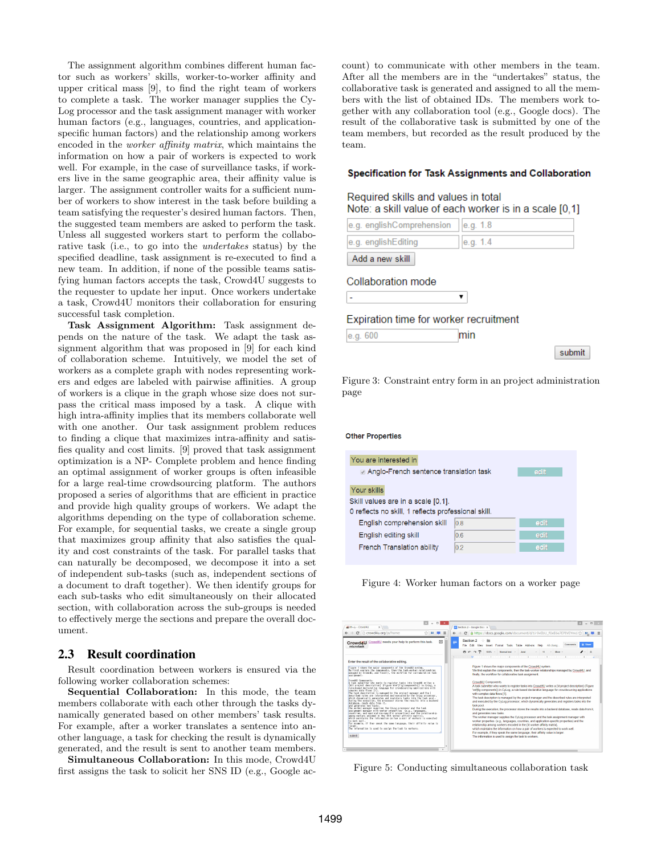The assignment algorithm combines different human factor such as workers' skills, worker-to-worker affinity and upper critical mass [9], to find the right team of workers to complete a task. The worker manager supplies the Cy-Log processor and the task assignment manager with worker human factors (e.g., languages, countries, and applicationspecific human factors) and the relationship among workers encoded in the *worker affinity matrix*, which maintains the information on how a pair of workers is expected to work well. For example, in the case of surveillance tasks, if workers live in the same geographic area, their affinity value is larger. The assignment controller waits for a sufficient number of workers to show interest in the task before building a team satisfying the requester's desired human factors. Then, the suggested team members are asked to perform the task. Unless all suggested workers start to perform the collaborative task (i.e., to go into the undertakes status) by the specified deadline, task assignment is re-executed to find a new team. In addition, if none of the possible teams satisfying human factors accepts the task, Crowd4U suggests to the requester to update her input. Once workers undertake a task, Crowd4U monitors their collaboration for ensuring successful task completion.

Task Assignment Algorithm: Task assignment depends on the nature of the task. We adapt the task assignment algorithm that was proposed in [9] for each kind of collaboration scheme. Intuitively, we model the set of workers as a complete graph with nodes representing workers and edges are labeled with pairwise affinities. A group of workers is a clique in the graph whose size does not surpass the critical mass imposed by a task. A clique with high intra-affinity implies that its members collaborate well with one another. Our task assignment problem reduces to finding a clique that maximizes intra-affinity and satisfies quality and cost limits. [9] proved that task assignment optimization is a NP- Complete problem and hence finding an optimal assignment of worker groups is often infeasible for a large real-time crowdsourcing platform. The authors proposed a series of algorithms that are efficient in practice and provide high quality groups of workers. We adapt the algorithms depending on the type of collaboration scheme. For example, for sequential tasks, we create a single group that maximizes group affinity that also satisfies the quality and cost constraints of the task. For parallel tasks that can naturally be decomposed, we decompose it into a set of independent sub-tasks (such as, independent sections of a document to draft together). We then identify groups for each sub-tasks who edit simultaneously on their allocated section, with collaboration across the sub-groups is needed to effectively merge the sections and prepare the overall document.

# 2.3 Result coordination

Result coordination between workers is ensured via the following worker collaboration schemes:

Sequential Collaboration: In this mode, the team members collaborate with each other through the tasks dynamically generated based on other members' task results. For example, after a worker translates a sentence into another language, a task for checking the result is dynamically generated, and the result is sent to another team members.

Simultaneous Collaboration: In this mode, Crowd4U first assigns the task to solicit her SNS ID (e.g., Google account) to communicate with other members in the team. After all the members are in the "undertakes" status, the collaborative task is generated and assigned to all the members with the list of obtained IDs. The members work together with any collaboration tool (e.g., Google docs). The result of the collaborative task is submitted by one of the team members, but recorded as the result produced by the team.

#### Specification for Task Assignments and Collaboration

# Required skills and values in total

Note: a skill value of each worker is in a scale [0,1]

| e.g. englishComprehension   e.g. 1.8 |          |
|--------------------------------------|----------|
| e.g. englishEditing                  | e.g. 1.4 |

7

Add a new skill

#### Collaboration mode

#### Expiration time for worker recruitment

| le.g. 600 | min |
|-----------|-----|
|-----------|-----|

submit

Figure 3: Constraint entry form in an project administration page

**Other Properties** 

| You are interested in                                                                                    |        |      |  |  |  |
|----------------------------------------------------------------------------------------------------------|--------|------|--|--|--|
| Anglo-French sentence translation task                                                                   | edit   |      |  |  |  |
| Your skills<br>Skill values are in a scale [0,1].<br>0 reflects no skill, 1 reflects professional skill. |        |      |  |  |  |
| English comprehension skill                                                                              | $\log$ | edit |  |  |  |
| English editing skill                                                                                    | 0.6    | edit |  |  |  |
| <b>French Translation ability</b>                                                                        | 0.2    | edit |  |  |  |
|                                                                                                          |        |      |  |  |  |

Figure 4: Worker human factors on a worker page

| 40 h - 4 - Crowd4U                                                                                                                                                                                                                                                                                                                                                                                                                                                                                                                                                                                                                                                                                                                                                                                                                                                                                                                                                                                                                                                                                                                                                                                                                                                                                                                                                    | п                      | p<br>Section.2 - Google Doc: X                                                                                                                                                                                                                                                                                                                                                                                                                                                                                                                                                                                                                                                                                                                                                                                                                                                                                                                                                                                                                                                                                                                                                                                                                                                     |
|-----------------------------------------------------------------------------------------------------------------------------------------------------------------------------------------------------------------------------------------------------------------------------------------------------------------------------------------------------------------------------------------------------------------------------------------------------------------------------------------------------------------------------------------------------------------------------------------------------------------------------------------------------------------------------------------------------------------------------------------------------------------------------------------------------------------------------------------------------------------------------------------------------------------------------------------------------------------------------------------------------------------------------------------------------------------------------------------------------------------------------------------------------------------------------------------------------------------------------------------------------------------------------------------------------------------------------------------------------------------------|------------------------|------------------------------------------------------------------------------------------------------------------------------------------------------------------------------------------------------------------------------------------------------------------------------------------------------------------------------------------------------------------------------------------------------------------------------------------------------------------------------------------------------------------------------------------------------------------------------------------------------------------------------------------------------------------------------------------------------------------------------------------------------------------------------------------------------------------------------------------------------------------------------------------------------------------------------------------------------------------------------------------------------------------------------------------------------------------------------------------------------------------------------------------------------------------------------------------------------------------------------------------------------------------------------------|
| C n crowd4u.org/ia/home<br>$\leftarrow$ $\rightarrow$                                                                                                                                                                                                                                                                                                                                                                                                                                                                                                                                                                                                                                                                                                                                                                                                                                                                                                                                                                                                                                                                                                                                                                                                                                                                                                                 | s2<br>$=$<br><b>RI</b> | C A https://docs.google.com/document/d/1i-9vEbU_fGxE6e7EPIVEYmci:s2y<br><b>BL</b>                                                                                                                                                                                                                                                                                                                                                                                                                                                                                                                                                                                                                                                                                                                                                                                                                                                                                                                                                                                                                                                                                                                                                                                                  |
| Crowd4U needs your help to perform this task.<br>Crowd <sub>4U</sub><br>microtask                                                                                                                                                                                                                                                                                                                                                                                                                                                                                                                                                                                                                                                                                                                                                                                                                                                                                                                                                                                                                                                                                                                                                                                                                                                                                     | 冈                      | Section 2<br>$\equiv$<br><b>B</b> Share<br>Comments<br>File Edit View Insert Format Tools Table Add-ons Help<br>All chang.                                                                                                                                                                                                                                                                                                                                                                                                                                                                                                                                                                                                                                                                                                                                                                                                                                                                                                                                                                                                                                                                                                                                                         |
|                                                                                                                                                                                                                                                                                                                                                                                                                                                                                                                                                                                                                                                                                                                                                                                                                                                                                                                                                                                                                                                                                                                                                                                                                                                                                                                                                                       |                        | $A \cap \gamma$ 7<br>100%<br>Normal text<br>Mone:<br>Artist                                                                                                                                                                                                                                                                                                                                                                                                                                                                                                                                                                                                                                                                                                                                                                                                                                                                                                                                                                                                                                                                                                                                                                                                                        |
| Enter the result of the collaborative editing.                                                                                                                                                                                                                                                                                                                                                                                                                                                                                                                                                                                                                                                                                                                                                                                                                                                                                                                                                                                                                                                                                                                                                                                                                                                                                                                        |                        |                                                                                                                                                                                                                                                                                                                                                                                                                                                                                                                                                                                                                                                                                                                                                                                                                                                                                                                                                                                                                                                                                                                                                                                                                                                                                    |
| Figure 1 shows the saigr components of the Ocoat4U system.<br>To first explain the components, then the task-worker relationships<br>egnaged by Crowd4U, and Finally, the worldlow for collaborative task<br>assignment.<br>Crowdall Concorants.<br>A task submitter who wants to register tasks into Croudd) writes a<br>[Wit project description] (Figure Wrefifigioneonentel) in Oxiog, a<br>[rule-hoped declaretive language for crowdogurcing applications with<br>complex data flows [1].<br>The task description is managed by the project manager and the I<br>described rules are interpreted and executed by the Orlog processor.<br>ebich dynamically generates and registers tasks into the task gool.<br>During the execution, the processor stores the results into a backend<br>database, reads data from it.<br>and penerates new tests.<br>The worker manager supplies the CyLog processor and the task<br>assignment manager with worker properties (e.g., languages,<br>countries, and application-specific properties) and the relationship<br>asong vorkers encoded in the (Wit vorker affinity matrix).<br>which maintains the information on how a pair of workers is expected.<br>to enck eall.<br>For example, if they smeak the same language, their affinity value is<br>locase.<br>The information is used to assign the task to workers. |                        | Figure 1 shows the major components of the Crowd4U system.<br>We first explain the components, then the task-worker relationships managed by Crowd4U, and<br>finally, the workflow for collaborative task assignment.<br>Crowd4U Components.<br>A task submitter who wants to register tasks into Crowd4U writes a filt project description) (Figure<br>Veltra components)) in CyLog, a rule-based declarative language for crowdsourcing applications<br>with complex data flows [1].<br>The task description is managed by the project manager and the described rules are interpreted<br>and executed by the CyLog processor, which dynamically generates and registers tasks into the<br>task pool.<br>During the execution, the processor stores the results into a backend database, reads data from it.<br>and generates new tasks.<br>The worker manager supplies the CyLog processor and the task assignment manager with<br>worker properties (e.g., languages, countries, and application-specific properties) and the<br>relationship among workers encoded in the Fit worker affinity matrix).<br>which maintains the information on how a pair of workers is expected to work well.<br>For example, if they speak the same language, their affinity value is larger. |

Figure 5: Conducting simultaneous collaboration task